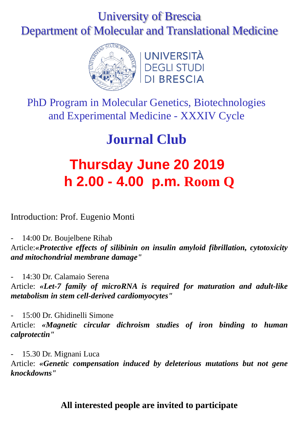### University of Brescia Department of Molecular and Translational Medicine



PhD Program in Molecular Genetics, Biotechnologies and Experimental Medicine - XXXIV Cycle

## **Journal Club**

# **Thursday June 20 2019 h 2.00 - 4.00 p.m. Room Q**

Introduction: Prof. Eugenio Monti

14:00 Dr. Boujelbene Rihab Article:*«Protective effects of silibinin on insulin amyloid fibrillation, cytotoxicity and mitochondrial membrane damage"*

- 14:30 Dr. Calamaio Serena Article: *«Let-7 family of microRNA is required for maturation and adult-like metabolism in stem cell-derived cardiomyocytes"*

- 15:00 Dr. Ghidinelli Simone Article: *«Magnetic circular dichroism studies of iron binding to human calprotectin"*

- 15.30 Dr. Mignani Luca

Article: *«Genetic compensation induced by deleterious mutations but not gene knockdowns"*

#### **All interested people are invited to participate**